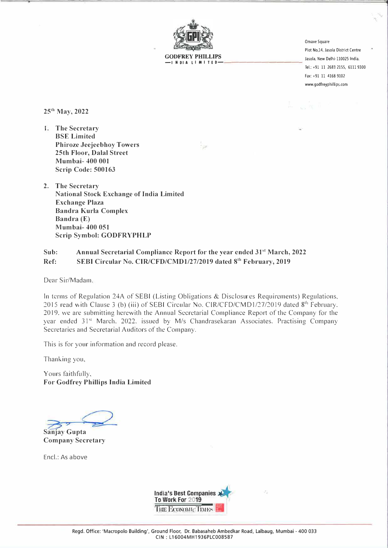

GODFREY PHILLIPS **SECUREY PHILLIPS** Jasola, New Delhi-110025 India. **-INDIA LIMITED** 

Omaxe Square Plot No.14, Jasola District Centre Tel.: +91 11 2683 2155, 6111 9300 Fax: +91 11 4168 9102 www.godfreyphillips.com

**25<sup>111</sup>May, 2022** 

**1. The Secretary BSE Limited Phiroze Jeejeebhoy Towers 25th Floor, Dalal Street Mumbai- 400 001 Scrip Code: 500163**

**2. The Secretary National Stock Exchange of India Limited Exchange Plaza Bandra Kurla Complex Bandra (E) Mumbai- 400 051 Scrip Symbol: GODFRYPHLP**

## **Sub: Annual Secretarial Compliance Report for the year ended 31'<sup>1</sup>March, 2022**  Ref: SEBI Circular No. CIR/CFD/CMD1/27/2019 dated 8<sup>th</sup> February, 2019

Dear Sir/Madam.

In terms of Regulation 24A of SEBI (Listing Obligations & Disclosures Requirements) Regulations. 2015 read with Clause 3 (b) (iii) of SEBI Circular No. CIR/CFD/CMD1/27/2019 dated 8<sup>th</sup> February. 2019. we are submitting herewith the Annual Secretarial Compliance Report of the Company for the year ended 31<sup>st</sup> March. 2022. issued by M/s Chandrasekaran Associates. Practising Company Secretaries and Secretarial Auditors of the Company.

This is for your information and record please.

Thanking you.

Yours faithfully, **For Godfrey Phillips India Limited** 

**Sanjay Gupta Company Secretary** 

Encl.: As above

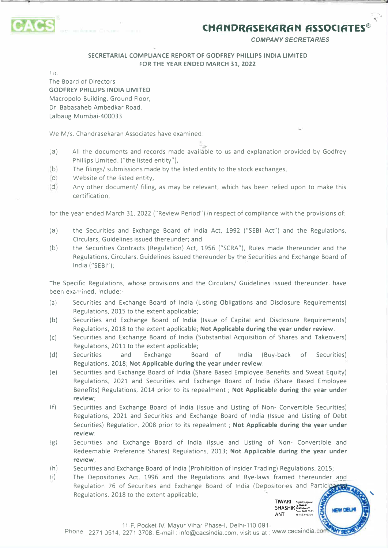

*COMPANY SECRETARIES* 

-,,

### **SECRETARIAL COMPLIANCE REPORT OF GODFREY PHILLIPS INDIA LIMITED FOR THE YEAR ENDED MARCH 31, 2022**

**T,J,** 

The Board of Directors **GODFREY PHILLIPS INDIA LIMITED**  Macropolo Building, Ground Floor, Or. Babasaheb Ambedkar Road, Lalbaug Mumbai-400033

We M/s. Chandrasekaran Associates have examined:

- (a) All the documents and records made available to us and explanation provided by Godfrey Phillips Limited. ("the listed entity"),
- (b) The filings/ submissions made by the listed entity to the stock exchanges,  $\overline{c}$  Website of the listed entity.
- Website of the listed entity,
- (d) Any other document/ filing, as may be relevant, which has been relied upon to make this certification,

for the year ended March 31, 2022 ("Review Period") in respect of compliance with the provisions of:

- (a) the Securities and Exchange Board of India Act, 1992 ("SEBI Act") and the Regulations, Circulars, Guidelines issued thereunder; and
- (b) the Securities Contracts (Regulation) Act, 1956 ("SCRA"), Rules made thereunder and the Regulations, Circulars, Guidelines issued thereunder by the Securities and Exchange Board of India ("SEBI");

The Specific Regulations, whose provisions and the Circulars/ Guidelines issued thereunder, have been examined, include:-

- (a) Securities and Exchange Board of India (Listing Obligations and Disclosure Requirements) Regulations, 2015 to the extent applicable;
- (b) Securities and Exchange Board of **India** (Issue of Capital and Disclosure Requirements) Regulations, 2018 to the extent applicable; **Not Applicable during the year under review.**
- (c) Securities and Exchange Board of India (Substantial Acquisition of Shares and Takeovers) Regulations, 2011 to the extent applicable;
- (d) Securities and Exchange Board of India (Buy-back of Securities) Regulations, 2018; **Not Applicable during the year under review.**
- (e) Securities and Exchange Board of India (Share Based Employee Benefits and Sweat Equity) Regulations, 2021 and Securities and Exchange Board of India (Share Based Employee Benefits) Regulations, 2014 prior to its repealment ; Not Applicable during the year under **review;**
- (f) Securities and Exchange Board of India {Issue and Listing of Non- Convertible Securities) Regulations, 2021 and Securities and Exchange Board of India (Issue and Listing of Debt Securities) Regulation, 2008 prior to its repealment ; **Not Applicable during the year under review;**
- (g) Securities and Exchange Board of India (Issue and Listing of Non- Convertible and Redeemable Preference Shares) Regulations. 2013; **Not Applicable during the year under review;**
- (h) Securities and Exchange Board of India (Prohibition of Insider Trading) Regulations, 2015;
- (i) The Depositories Act, 1996 and the Regulations and Bye-laws framed thereunder and Regulation 76 of Securities and Exchange Board of India (Depositories and Participantial Regulations, 2018 to the extent applicable;

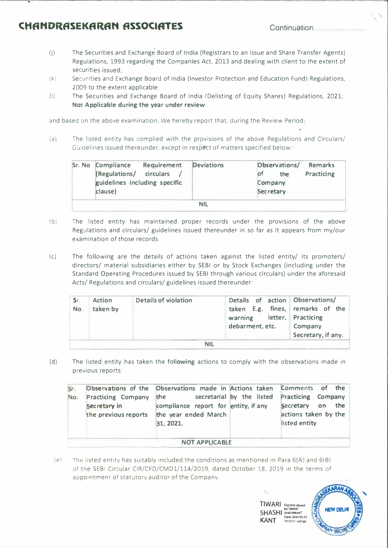# **CHANDRASEKARAN ASSOCIATES Continuation**

- (j) The Securities and Exchange Board of India (Registrars to an Issue and Share Transfer Agents) Regulations, 1993 regarding the Companies Act, 2013 and dealing with client to the extent of securities issued;
- (k) Securities and Exchange Board of India (Investor Protection and Education Fund) Regulations, 2009 to the extent applicable
- (lj The Securities and Exchange Board of India (Delisting of Equity Shares) Regulations, 2021; **Not Applicable during the year under review**

and based on the above examination, We hereby report that, during the Review Period.

(a) The listed entity has complied with the provisions of the above Regulations and Circulars/ Guidelines issued thereunder, except in respett of matters specified below:-

| <b>Sr. No Compliance</b><br>Requirement<br>(Regulations/ circulars<br>guidelines including specific<br>clause) | <b>Deviations</b> | Observations/<br>the<br>Company<br>Secretary | <b>Remarks</b><br>Practicing |
|----------------------------------------------------------------------------------------------------------------|-------------------|----------------------------------------------|------------------------------|
|                                                                                                                | <b>NIL</b>        |                                              |                              |

- $(b)$ The listed entity has maintained proper records under the provisions of the above Regulations and circulars/ guidelines issued thereunder in so far as it appears from my/our examination of those records.
- (c) The following are the details of actions taken against the listed entity/ its promoters/ directors/ material subsidiaries either by SEBI or by Stock Exchanges (including under the Standard Operating Procedures issued by SEBI through various circulars) under the aforesaid Acts/ Regulations and circulars/ guidelines issued thereunder:

| Sr.<br>No. | <b>Action</b><br>taken by | <b>Details of violation</b> | Details of action Observations/<br>taken E.g. fines, remarks of the<br>warning letter, Practicing<br>debarment, etc. | Company<br>Secretary, if any. |  |  |
|------------|---------------------------|-----------------------------|----------------------------------------------------------------------------------------------------------------------|-------------------------------|--|--|
| NH         |                           |                             |                                                                                                                      |                               |  |  |

(d) The listed entity has taken the **following** actions to comply with the observations made in previous reports:

| Sr.<br>No.            | <b>Practicing Company</b><br>Secretary in<br>the previous reports | Observations of the Observations made in Actions taken Comments of the<br>the<br>compliance report for entity, if any<br>the year ended March<br>31, 2021. |  | secretarial by the listed Practicing Company<br>Secretary on the<br>actions taken by the<br>listed entity |  |  |  |  |
|-----------------------|-------------------------------------------------------------------|------------------------------------------------------------------------------------------------------------------------------------------------------------|--|-----------------------------------------------------------------------------------------------------------|--|--|--|--|
| <b>NOT APPLICABLE</b> |                                                                   |                                                                                                                                                            |  |                                                                                                           |  |  |  |  |

*(e)* The listed entity has suitably included the conditions as mentioned in Para 6(A) and 6(8) of the SEBI Circular CIR/CFD/CMDl/114/2019, dated October 18. 2019 in the terms of appointment of statutory auditor of the Company



TIWARI Digitally slg by TIWARI<br>**SHASHI** SHASHIKANT<br>**MANT** Date: 2022 05.23  $KANT$  16:12:11 +05'30